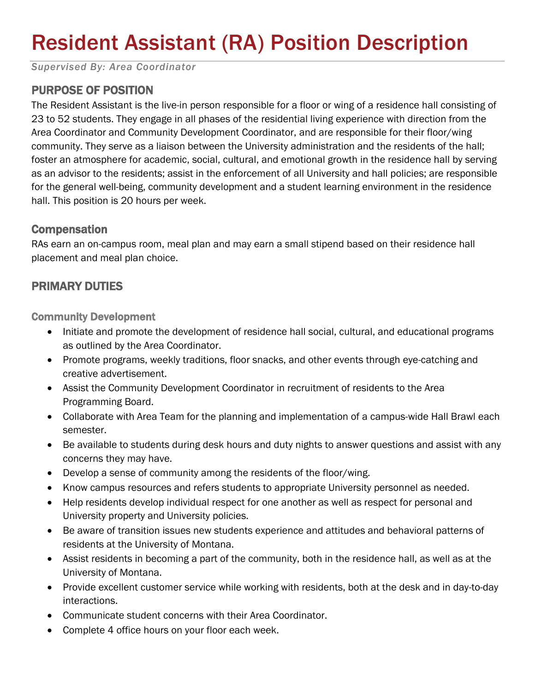# Resident Assistant (RA) Position Description

*Supervised By: Area Coordinator*

## PURPOSE OF POSITION

The Resident Assistant is the live-in person responsible for a floor or wing of a residence hall consisting of 23 to 52 students. They engage in all phases of the residential living experience with direction from the Area Coordinator and Community Development Coordinator, and are responsible for their floor/wing community. They serve as a liaison between the University administration and the residents of the hall; foster an atmosphere for academic, social, cultural, and emotional growth in the residence hall by serving as an advisor to the residents; assist in the enforcement of all University and hall policies; are responsible for the general well-being, community development and a student learning environment in the residence hall. This position is 20 hours per week.

#### **Compensation**

RAs earn an on-campus room, meal plan and may earn a small stipend based on their residence hall placement and meal plan choice.

### PRIMARY DUTIES

Community Development

- Initiate and promote the development of residence hall social, cultural, and educational programs as outlined by the Area Coordinator.
- Promote programs, weekly traditions, floor snacks, and other events through eye-catching and creative advertisement.
- Assist the Community Development Coordinator in recruitment of residents to the Area Programming Board.
- Collaborate with Area Team for the planning and implementation of a campus-wide Hall Brawl each semester.
- Be available to students during desk hours and duty nights to answer questions and assist with any concerns they may have.
- Develop a sense of community among the residents of the floor/wing.
- Know campus resources and refers students to appropriate University personnel as needed.
- Help residents develop individual respect for one another as well as respect for personal and University property and University policies.
- Be aware of transition issues new students experience and attitudes and behavioral patterns of residents at the University of Montana.
- Assist residents in becoming a part of the community, both in the residence hall, as well as at the University of Montana.
- Provide excellent customer service while working with residents, both at the desk and in day-to-day interactions.
- Communicate student concerns with their Area Coordinator.
- Complete 4 office hours on your floor each week.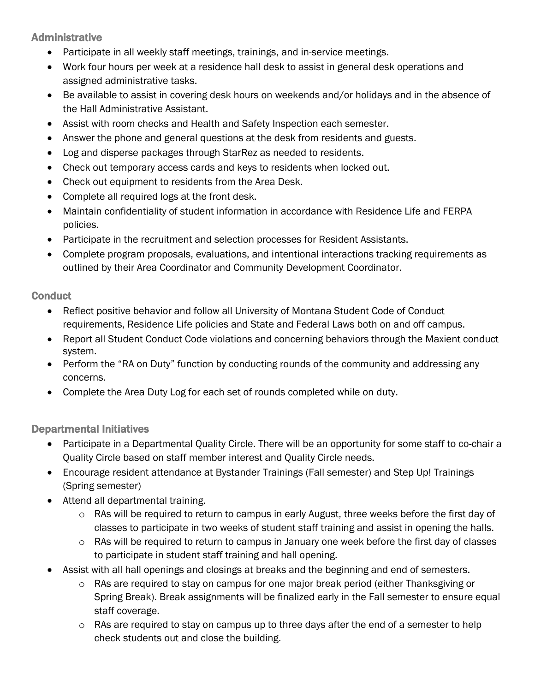Administrative

- Participate in all weekly staff meetings, trainings, and in-service meetings.
- Work four hours per week at a residence hall desk to assist in general desk operations and assigned administrative tasks.
- Be available to assist in covering desk hours on weekends and/or holidays and in the absence of the Hall Administrative Assistant.
- Assist with room checks and Health and Safety Inspection each semester.
- Answer the phone and general questions at the desk from residents and guests.
- Log and disperse packages through StarRez as needed to residents.
- Check out temporary access cards and keys to residents when locked out.
- Check out equipment to residents from the Area Desk.
- Complete all required logs at the front desk.
- Maintain confidentiality of student information in accordance with Residence Life and FERPA policies.
- Participate in the recruitment and selection processes for Resident Assistants.
- Complete program proposals, evaluations, and intentional interactions tracking requirements as outlined by their Area Coordinator and Community Development Coordinator.

#### **Conduct**

- Reflect positive behavior and follow all University of Montana Student Code of Conduct requirements, Residence Life policies and State and Federal Laws both on and off campus.
- Report all Student Conduct Code violations and concerning behaviors through the Maxient conduct system.
- Perform the "RA on Duty" function by conducting rounds of the community and addressing any concerns.
- Complete the Area Duty Log for each set of rounds completed while on duty.

#### Departmental Initiatives

- Participate in a Departmental Quality Circle. There will be an opportunity for some staff to co-chair a Quality Circle based on staff member interest and Quality Circle needs.
- Encourage resident attendance at Bystander Trainings (Fall semester) and Step Up! Trainings (Spring semester)
- Attend all departmental training.
	- o RAs will be required to return to campus in early August, three weeks before the first day of classes to participate in two weeks of student staff training and assist in opening the halls.
	- $\circ$  RAs will be required to return to campus in January one week before the first day of classes to participate in student staff training and hall opening.
- Assist with all hall openings and closings at breaks and the beginning and end of semesters.
	- o RAs are required to stay on campus for one major break period (either Thanksgiving or Spring Break). Break assignments will be finalized early in the Fall semester to ensure equal staff coverage.
	- o RAs are required to stay on campus up to three days after the end of a semester to help check students out and close the building.